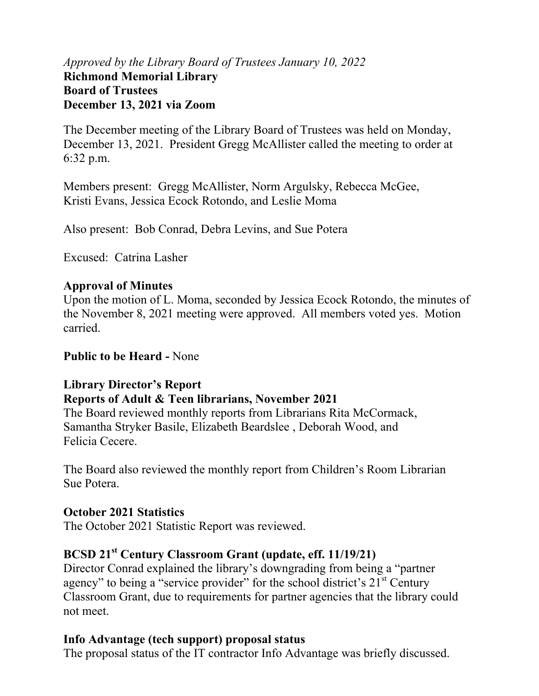### *Approved by the Library Board of Trustees January 10, 2022* **Richmond Memorial Library Board of Trustees December 13, 2021 via Zoom**

The December meeting of the Library Board of Trustees was held on Monday, December 13, 2021. President Gregg McAllister called the meeting to order at 6:32 p.m.

Members present: Gregg McAllister, Norm Argulsky, Rebecca McGee, Kristi Evans, Jessica Ecock Rotondo, and Leslie Moma

Also present: Bob Conrad, Debra Levins, and Sue Potera

Excused: Catrina Lasher

### **Approval of Minutes**

Upon the motion of L. Moma, seconded by Jessica Ecock Rotondo, the minutes of the November 8, 2021 meeting were approved. All members voted yes. Motion carried.

### **Public to be Heard -** None

### **Library Director's Report**

### **Reports of Adult & Teen librarians, November 2021**

The Board reviewed monthly reports from Librarians Rita McCormack, Samantha Stryker Basile, Elizabeth Beardslee , Deborah Wood, and Felicia Cecere.

The Board also reviewed the monthly report from Children's Room Librarian Sue Potera.

### **October 2021 Statistics**

The October 2021 Statistic Report was reviewed.

## **BCSD 21st Century Classroom Grant (update, eff. 11/19/21)**

Director Conrad explained the library's downgrading from being a "partner agency" to being a "service provider" for the school district's  $21<sup>st</sup>$  Century Classroom Grant, due to requirements for partner agencies that the library could not meet.

## **Info Advantage (tech support) proposal status**

The proposal status of the IT contractor Info Advantage was briefly discussed.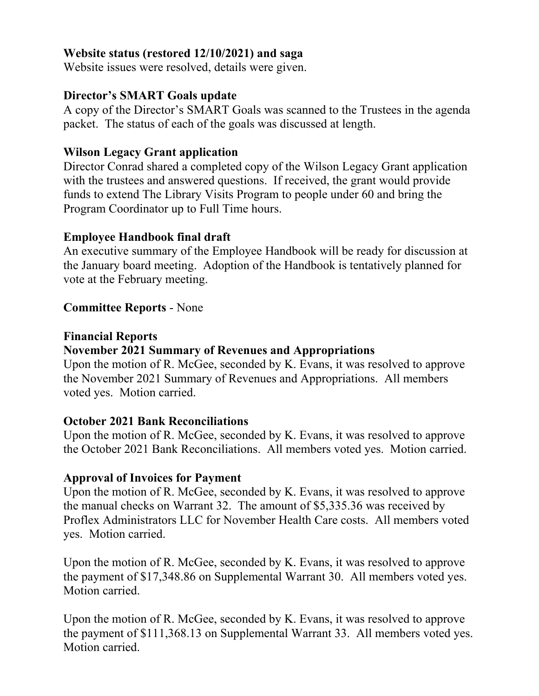### **Website status (restored 12/10/2021) and saga**

Website issues were resolved, details were given.

## **Director's SMART Goals update**

A copy of the Director's SMART Goals was scanned to the Trustees in the agenda packet. The status of each of the goals was discussed at length.

## **Wilson Legacy Grant application**

Director Conrad shared a completed copy of the Wilson Legacy Grant application with the trustees and answered questions. If received, the grant would provide funds to extend The Library Visits Program to people under 60 and bring the Program Coordinator up to Full Time hours.

## **Employee Handbook final draft**

An executive summary of the Employee Handbook will be ready for discussion at the January board meeting. Adoption of the Handbook is tentatively planned for vote at the February meeting.

## **Committee Reports** - None

### **Financial Reports**

## **November 2021 Summary of Revenues and Appropriations**

Upon the motion of R. McGee, seconded by K. Evans, it was resolved to approve the November 2021 Summary of Revenues and Appropriations. All members voted yes. Motion carried.

### **October 2021 Bank Reconciliations**

Upon the motion of R. McGee, seconded by K. Evans, it was resolved to approve the October 2021 Bank Reconciliations. All members voted yes. Motion carried.

## **Approval of Invoices for Payment**

Upon the motion of R. McGee, seconded by K. Evans, it was resolved to approve the manual checks on Warrant 32. The amount of \$5,335.36 was received by Proflex Administrators LLC for November Health Care costs. All members voted yes. Motion carried.

Upon the motion of R. McGee, seconded by K. Evans, it was resolved to approve the payment of \$17,348.86 on Supplemental Warrant 30. All members voted yes. Motion carried.

Upon the motion of R. McGee, seconded by K. Evans, it was resolved to approve the payment of \$111,368.13 on Supplemental Warrant 33. All members voted yes. Motion carried.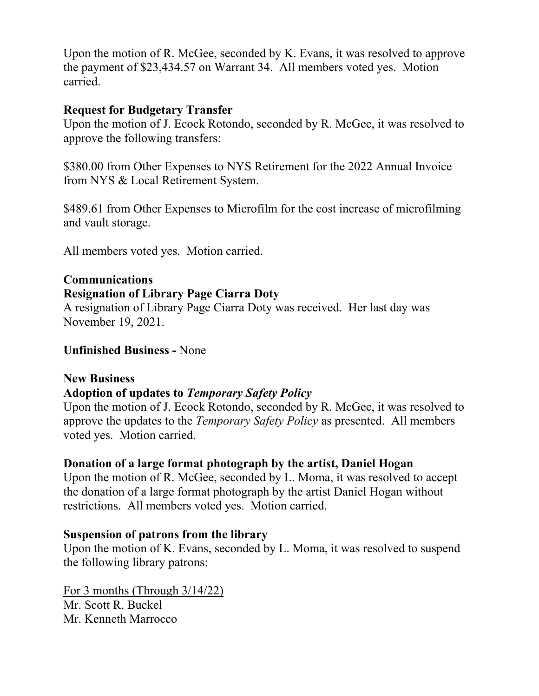Upon the motion of R. McGee, seconded by K. Evans, it was resolved to approve the payment of \$23,434.57 on Warrant 34. All members voted yes. Motion carried.

### **Request for Budgetary Transfer**

Upon the motion of J. Ecock Rotondo, seconded by R. McGee, it was resolved to approve the following transfers:

\$380.00 from Other Expenses to NYS Retirement for the 2022 Annual Invoice from NYS & Local Retirement System.

\$489.61 from Other Expenses to Microfilm for the cost increase of microfilming and vault storage.

All members voted yes. Motion carried.

#### **Communications Resignation of Library Page Ciarra Doty**

A resignation of Library Page Ciarra Doty was received. Her last day was November 19, 2021.

**Unfinished Business -** None

## **New Business**

### **Adoption of updates to** *Temporary Safety Policy*

Upon the motion of J. Ecock Rotondo, seconded by R. McGee, it was resolved to approve the updates to the *Temporary Safety Policy* as presented. All members voted yes. Motion carried.

## **Donation of a large format photograph by the artist, Daniel Hogan**

Upon the motion of R. McGee, seconded by L. Moma, it was resolved to accept the donation of a large format photograph by the artist Daniel Hogan without restrictions. All members voted yes. Motion carried.

### **Suspension of patrons from the library**

Upon the motion of K. Evans, seconded by L. Moma, it was resolved to suspend the following library patrons:

For 3 months (Through 3/14/22) Mr. Scott R. Buckel Mr. Kenneth Marrocco